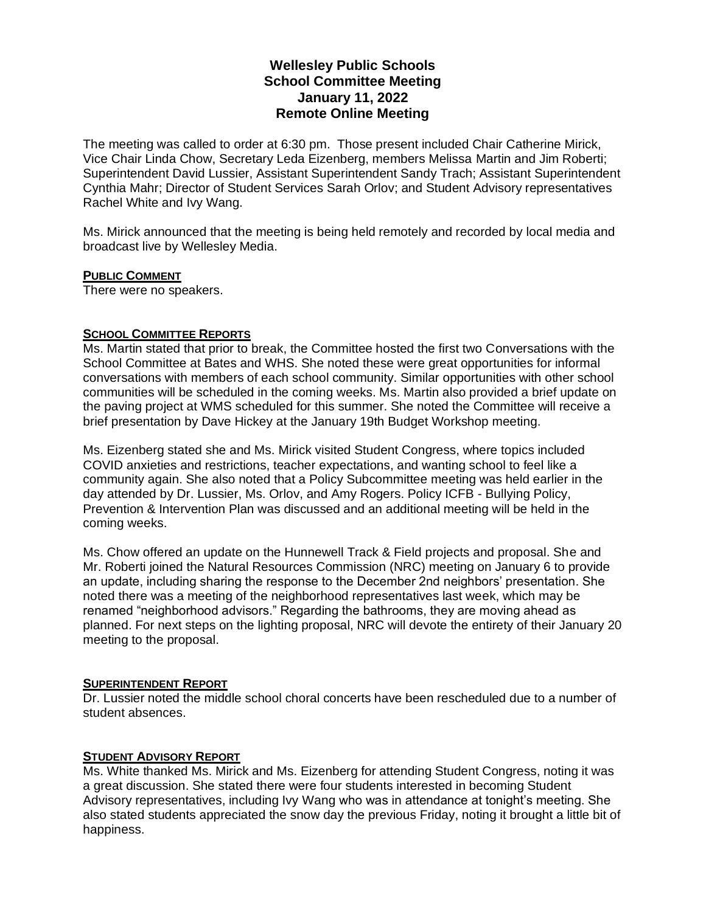# **Wellesley Public Schools School Committee Meeting January 11, 2022 Remote Online Meeting**

The meeting was called to order at 6:30 pm. Those present included Chair Catherine Mirick, Vice Chair Linda Chow, Secretary Leda Eizenberg, members Melissa Martin and Jim Roberti; Superintendent David Lussier, Assistant Superintendent Sandy Trach; Assistant Superintendent Cynthia Mahr; Director of Student Services Sarah Orlov; and Student Advisory representatives Rachel White and Ivy Wang.

Ms. Mirick announced that the meeting is being held remotely and recorded by local media and broadcast live by Wellesley Media.

## **PUBLIC COMMENT**

There were no speakers.

# **SCHOOL COMMITTEE REPORTS**

Ms. Martin stated that prior to break, the Committee hosted the first two Conversations with the School Committee at Bates and WHS. She noted these were great opportunities for informal conversations with members of each school community. Similar opportunities with other school communities will be scheduled in the coming weeks. Ms. Martin also provided a brief update on the paving project at WMS scheduled for this summer. She noted the Committee will receive a brief presentation by Dave Hickey at the January 19th Budget Workshop meeting.

Ms. Eizenberg stated she and Ms. Mirick visited Student Congress, where topics included COVID anxieties and restrictions, teacher expectations, and wanting school to feel like a community again. She also noted that a Policy Subcommittee meeting was held earlier in the day attended by Dr. Lussier, Ms. Orlov, and Amy Rogers. Policy ICFB - Bullying Policy, Prevention & Intervention Plan was discussed and an additional meeting will be held in the coming weeks.

Ms. Chow offered an update on the Hunnewell Track & Field projects and proposal. She and Mr. Roberti joined the Natural Resources Commission (NRC) meeting on January 6 to provide an update, including sharing the response to the December 2nd neighbors' presentation. She noted there was a meeting of the neighborhood representatives last week, which may be renamed "neighborhood advisors." Regarding the bathrooms, they are moving ahead as planned. For next steps on the lighting proposal, NRC will devote the entirety of their January 20 meeting to the proposal.

## **SUPERINTENDENT REPORT**

Dr. Lussier noted the middle school choral concerts have been rescheduled due to a number of student absences.

## **STUDENT ADVISORY REPORT**

Ms. White thanked Ms. Mirick and Ms. Eizenberg for attending Student Congress, noting it was a great discussion. She stated there were four students interested in becoming Student Advisory representatives, including Ivy Wang who was in attendance at tonight's meeting. She also stated students appreciated the snow day the previous Friday, noting it brought a little bit of happiness.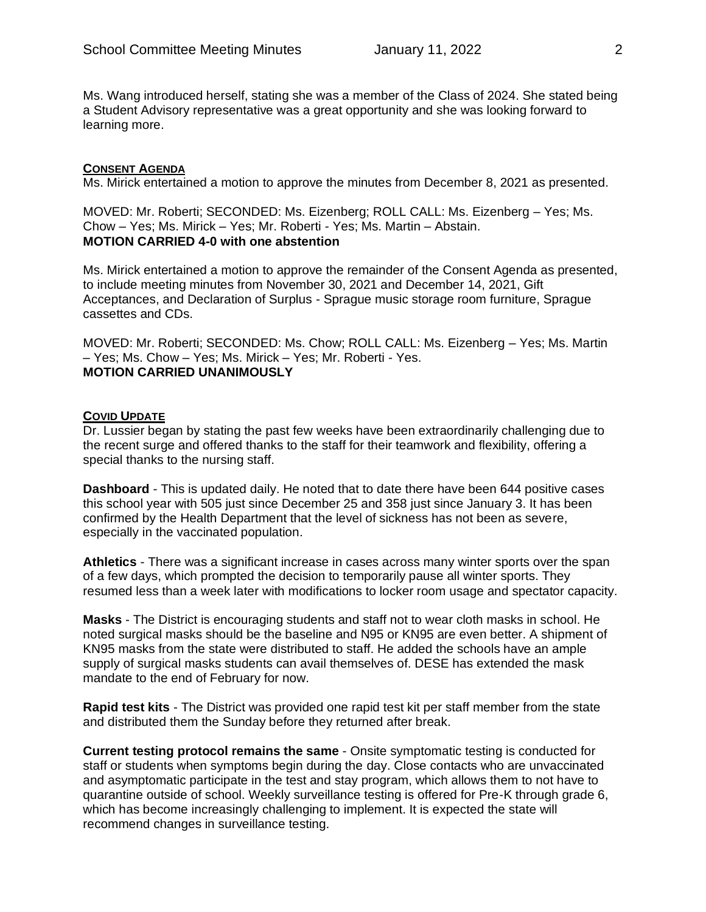Ms. Wang introduced herself, stating she was a member of the Class of 2024. She stated being a Student Advisory representative was a great opportunity and she was looking forward to learning more.

#### **CONSENT AGENDA**

Ms. Mirick entertained a motion to approve the minutes from December 8, 2021 as presented.

MOVED: Mr. Roberti; SECONDED: Ms. Eizenberg; ROLL CALL: Ms. Eizenberg – Yes; Ms. Chow – Yes; Ms. Mirick – Yes; Mr. Roberti - Yes; Ms. Martin – Abstain. **MOTION CARRIED 4-0 with one abstention**

Ms. Mirick entertained a motion to approve the remainder of the Consent Agenda as presented, to include meeting minutes from November 30, 2021 and December 14, 2021, Gift Acceptances, and Declaration of Surplus - Sprague music storage room furniture, Sprague cassettes and CDs.

MOVED: Mr. Roberti; SECONDED: Ms. Chow; ROLL CALL: Ms. Eizenberg – Yes; Ms. Martin – Yes; Ms. Chow – Yes; Ms. Mirick – Yes; Mr. Roberti - Yes. **MOTION CARRIED UNANIMOUSLY**

#### **COVID UPDATE**

Dr. Lussier began by stating the past few weeks have been extraordinarily challenging due to the recent surge and offered thanks to the staff for their teamwork and flexibility, offering a special thanks to the nursing staff.

**Dashboard** - This is updated daily. He noted that to date there have been 644 positive cases this school year with 505 just since December 25 and 358 just since January 3. It has been confirmed by the Health Department that the level of sickness has not been as severe, especially in the vaccinated population.

**Athletics** - There was a significant increase in cases across many winter sports over the span of a few days, which prompted the decision to temporarily pause all winter sports. They resumed less than a week later with modifications to locker room usage and spectator capacity.

**Masks** - The District is encouraging students and staff not to wear cloth masks in school. He noted surgical masks should be the baseline and N95 or KN95 are even better. A shipment of KN95 masks from the state were distributed to staff. He added the schools have an ample supply of surgical masks students can avail themselves of. DESE has extended the mask mandate to the end of February for now.

**Rapid test kits** - The District was provided one rapid test kit per staff member from the state and distributed them the Sunday before they returned after break.

**Current testing protocol remains the same** - Onsite symptomatic testing is conducted for staff or students when symptoms begin during the day. Close contacts who are unvaccinated and asymptomatic participate in the test and stay program, which allows them to not have to quarantine outside of school. Weekly surveillance testing is offered for Pre-K through grade 6, which has become increasingly challenging to implement. It is expected the state will recommend changes in surveillance testing.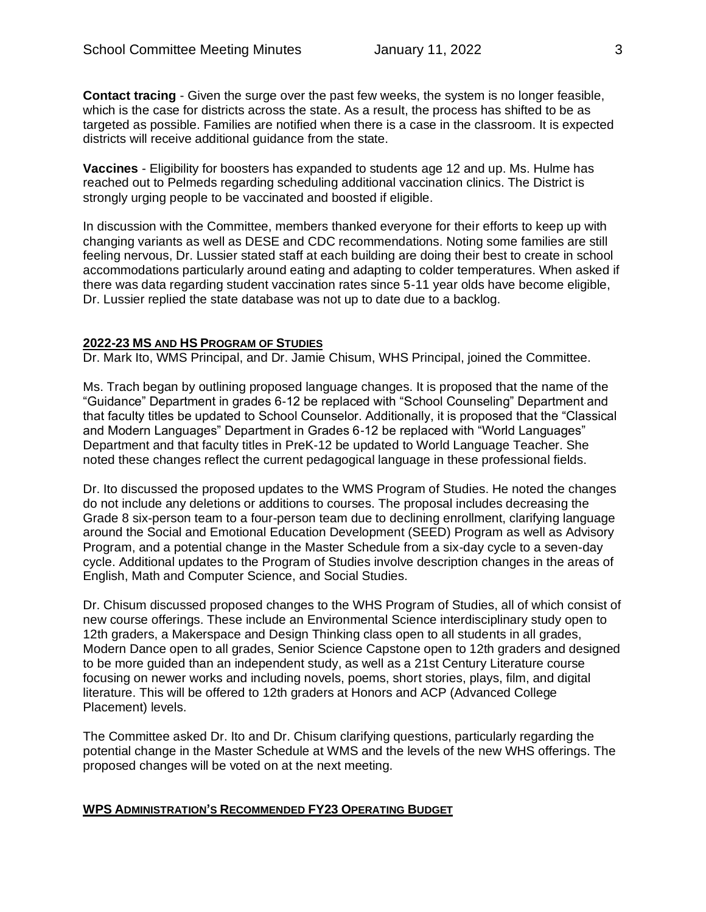**Contact tracing** - Given the surge over the past few weeks, the system is no longer feasible, which is the case for districts across the state. As a result, the process has shifted to be as targeted as possible. Families are notified when there is a case in the classroom. It is expected districts will receive additional guidance from the state.

**Vaccines** - Eligibility for boosters has expanded to students age 12 and up. Ms. Hulme has reached out to Pelmeds regarding scheduling additional vaccination clinics. The District is strongly urging people to be vaccinated and boosted if eligible.

In discussion with the Committee, members thanked everyone for their efforts to keep up with changing variants as well as DESE and CDC recommendations. Noting some families are still feeling nervous, Dr. Lussier stated staff at each building are doing their best to create in school accommodations particularly around eating and adapting to colder temperatures. When asked if there was data regarding student vaccination rates since 5-11 year olds have become eligible, Dr. Lussier replied the state database was not up to date due to a backlog.

#### **2022-23 MS AND HS PROGRAM OF STUDIES**

Dr. Mark Ito, WMS Principal, and Dr. Jamie Chisum, WHS Principal, joined the Committee.

Ms. Trach began by outlining proposed language changes. It is proposed that the name of the "Guidance" Department in grades 6-12 be replaced with "School Counseling" Department and that faculty titles be updated to School Counselor. Additionally, it is proposed that the "Classical and Modern Languages" Department in Grades 6-12 be replaced with "World Languages" Department and that faculty titles in PreK-12 be updated to World Language Teacher. She noted these changes reflect the current pedagogical language in these professional fields.

Dr. Ito discussed the proposed updates to the WMS Program of Studies. He noted the changes do not include any deletions or additions to courses. The proposal includes decreasing the Grade 8 six-person team to a four-person team due to declining enrollment, clarifying language around the Social and Emotional Education Development (SEED) Program as well as Advisory Program, and a potential change in the Master Schedule from a six-day cycle to a seven-day cycle. Additional updates to the Program of Studies involve description changes in the areas of English, Math and Computer Science, and Social Studies.

Dr. Chisum discussed proposed changes to the WHS Program of Studies, all of which consist of new course offerings. These include an Environmental Science interdisciplinary study open to 12th graders, a Makerspace and Design Thinking class open to all students in all grades, Modern Dance open to all grades, Senior Science Capstone open to 12th graders and designed to be more guided than an independent study, as well as a 21st Century Literature course focusing on newer works and including novels, poems, short stories, plays, film, and digital literature. This will be offered to 12th graders at Honors and ACP (Advanced College Placement) levels.

The Committee asked Dr. Ito and Dr. Chisum clarifying questions, particularly regarding the potential change in the Master Schedule at WMS and the levels of the new WHS offerings. The proposed changes will be voted on at the next meeting.

#### **WPS ADMINISTRATION'S RECOMMENDED FY23 OPERATING BUDGET**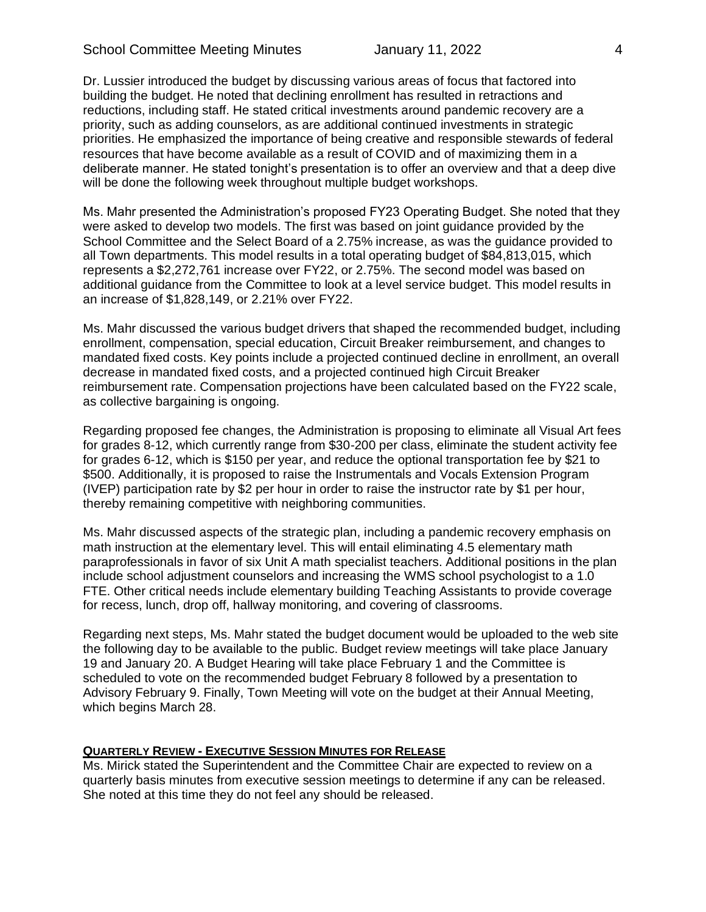Dr. Lussier introduced the budget by discussing various areas of focus that factored into building the budget. He noted that declining enrollment has resulted in retractions and reductions, including staff. He stated critical investments around pandemic recovery are a priority, such as adding counselors, as are additional continued investments in strategic priorities. He emphasized the importance of being creative and responsible stewards of federal resources that have become available as a result of COVID and of maximizing them in a deliberate manner. He stated tonight's presentation is to offer an overview and that a deep dive will be done the following week throughout multiple budget workshops.

Ms. Mahr presented the Administration's proposed FY23 Operating Budget. She noted that they were asked to develop two models. The first was based on joint guidance provided by the School Committee and the Select Board of a 2.75% increase, as was the guidance provided to all Town departments. This model results in a total operating budget of \$84,813,015, which represents a \$2,272,761 increase over FY22, or 2.75%. The second model was based on additional guidance from the Committee to look at a level service budget. This model results in an increase of \$1,828,149, or 2.21% over FY22.

Ms. Mahr discussed the various budget drivers that shaped the recommended budget, including enrollment, compensation, special education, Circuit Breaker reimbursement, and changes to mandated fixed costs. Key points include a projected continued decline in enrollment, an overall decrease in mandated fixed costs, and a projected continued high Circuit Breaker reimbursement rate. Compensation projections have been calculated based on the FY22 scale, as collective bargaining is ongoing.

Regarding proposed fee changes, the Administration is proposing to eliminate all Visual Art fees for grades 8-12, which currently range from \$30-200 per class, eliminate the student activity fee for grades 6-12, which is \$150 per year, and reduce the optional transportation fee by \$21 to \$500. Additionally, it is proposed to raise the Instrumentals and Vocals Extension Program (IVEP) participation rate by \$2 per hour in order to raise the instructor rate by \$1 per hour, thereby remaining competitive with neighboring communities.

Ms. Mahr discussed aspects of the strategic plan, including a pandemic recovery emphasis on math instruction at the elementary level. This will entail eliminating 4.5 elementary math paraprofessionals in favor of six Unit A math specialist teachers. Additional positions in the plan include school adjustment counselors and increasing the WMS school psychologist to a 1.0 FTE. Other critical needs include elementary building Teaching Assistants to provide coverage for recess, lunch, drop off, hallway monitoring, and covering of classrooms.

Regarding next steps, Ms. Mahr stated the budget document would be uploaded to the web site the following day to be available to the public. Budget review meetings will take place January 19 and January 20. A Budget Hearing will take place February 1 and the Committee is scheduled to vote on the recommended budget February 8 followed by a presentation to Advisory February 9. Finally, Town Meeting will vote on the budget at their Annual Meeting, which begins March 28.

## **QUARTERLY REVIEW - EXECUTIVE SESSION MINUTES FOR RELEASE**

Ms. Mirick stated the Superintendent and the Committee Chair are expected to review on a quarterly basis minutes from executive session meetings to determine if any can be released. She noted at this time they do not feel any should be released.